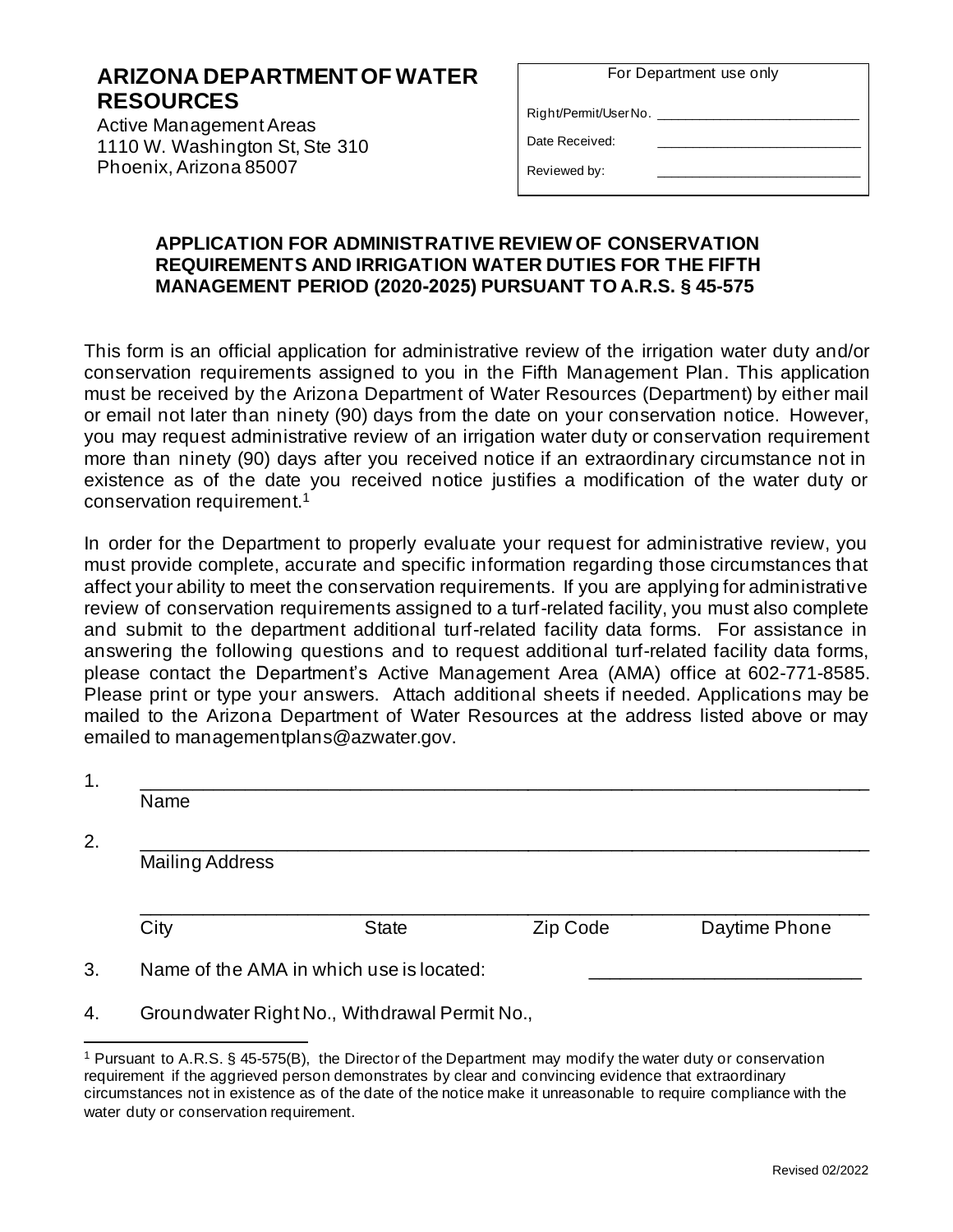## **ARIZONA DEPARTMENT OF WATER RESOURCES**

Active Management Areas 1110 W. Washington St, Ste 310 Phoenix, Arizona 85007

| For Department use only |  |
|-------------------------|--|
|-------------------------|--|

Right/Permit/User No.

Date Received:

Reviewed by:

## **APPLICATION FOR ADMINISTRATIVE REVIEW OF CONSERVATION REQUIREMENTS AND IRRIGATION WATER DUTIES FOR THE FIFTH MANAGEMENT PERIOD (2020-2025) PURSUANT TO A.R.S. § 45-575**

This form is an official application for administrative review of the irrigation water duty and/or conservation requirements assigned to you in the Fifth Management Plan. This application must be received by the Arizona Department of Water Resources (Department) by either mail or email not later than ninety (90) days from the date on your conservation notice. However, you may request administrative review of an irrigation water duty or conservation requirement more than ninety (90) days after you received notice if an extraordinary circumstance not in existence as of the date you received notice justifies a modification of the water duty or conservation requirement.<sup>1</sup>

In order for the Department to properly evaluate your request for administrative review, you must provide complete, accurate and specific information regarding those circumstances that affect your ability to meet the conservation requirements. If you are applying for administrative review of conservation requirements assigned to a turf-related facility, you must also complete and submit to the department additional turf-related facility data forms. For assistance in answering the following questions and to request additional turf-related facility data forms, please contact the Department's Active Management Area (AMA) office at 602-771-8585. Please print or type your answers. Attach additional sheets if needed. Applications may be mailed to the Arizona Department of Water Resources at the address listed above or may emailed to managementplans@azwater.gov.

| Name                   |                                               |          |               |
|------------------------|-----------------------------------------------|----------|---------------|
| <b>Mailing Address</b> |                                               |          |               |
| City                   | <b>State</b>                                  | Zip Code | Daytime Phone |
|                        | Name of the AMA in which use is located:      |          |               |
|                        | Groundwater Right No., Withdrawal Permit No., |          |               |

Pursuant to A.R.S. § 45-575(B), the Director of the Department may modify the water duty or conservation requirement if the aggrieved person demonstrates by clear and convincing evidence that extraordinary circumstances not in existence as of the date of the notice make it unreasonable to require compliance with the water duty or conservation requirement.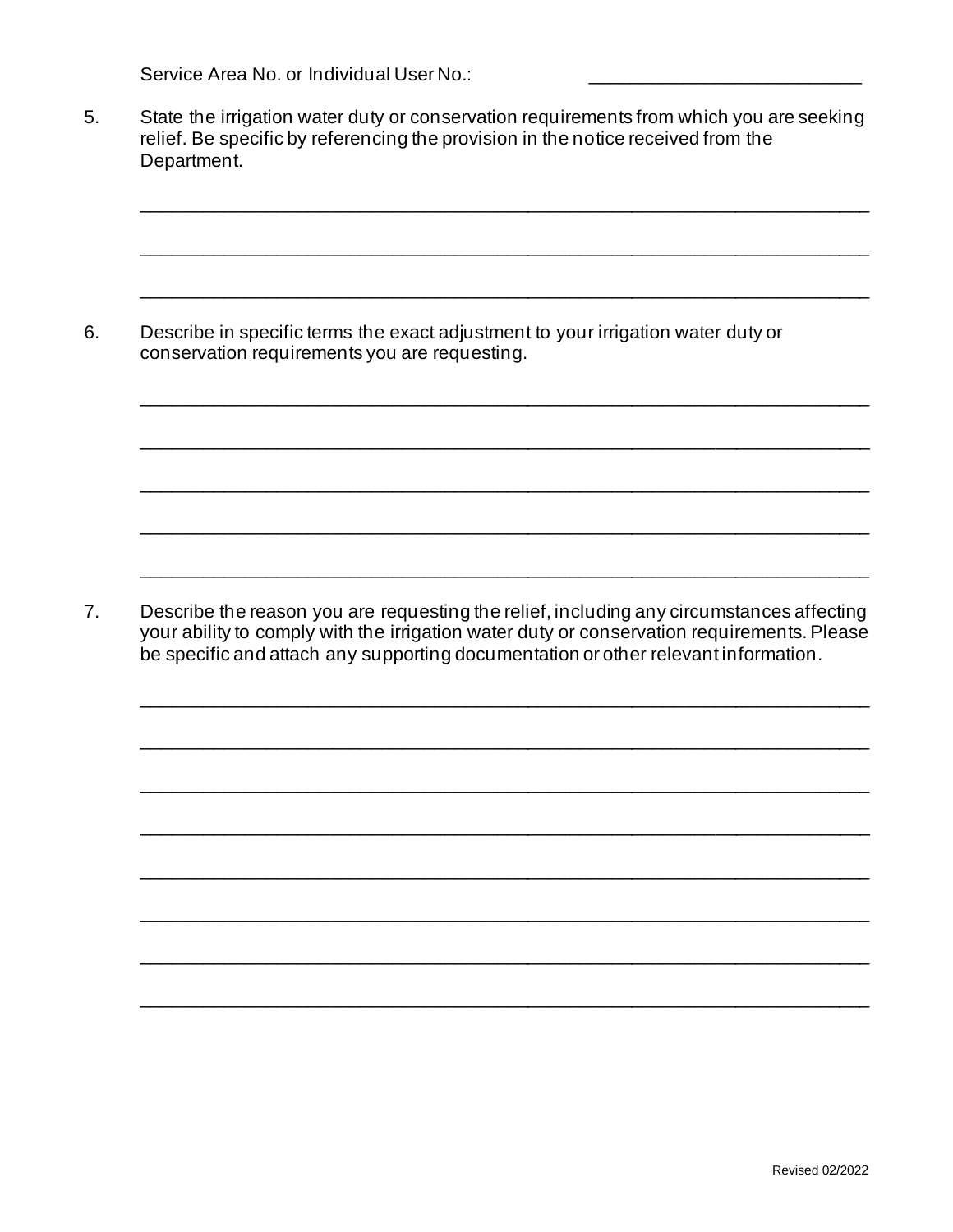Service Area No. or Individual User No.:

5. State the irrigation water duty or conservation requirements from which you are seeking relief. Be specific by referencing the provision in the notice received from the Department.

\_\_\_\_\_\_\_\_\_\_\_\_\_\_\_\_\_\_\_\_\_\_\_\_\_\_\_\_\_\_\_\_\_\_\_\_\_\_\_\_\_\_\_\_\_\_\_\_\_\_\_\_\_\_\_\_\_\_\_\_\_\_\_\_\_\_\_\_\_\_

\_\_\_\_\_\_\_\_\_\_\_\_\_\_\_\_\_\_\_\_\_\_\_\_\_\_\_\_\_\_\_\_\_\_\_\_\_\_\_\_\_\_\_\_\_\_\_\_\_\_\_\_\_\_\_\_\_\_\_\_\_\_\_\_\_\_\_\_\_\_

\_\_\_\_\_\_\_\_\_\_\_\_\_\_\_\_\_\_\_\_\_\_\_\_\_\_\_\_\_\_\_\_\_\_\_\_\_\_\_\_\_\_\_\_\_\_\_\_\_\_\_\_\_\_\_\_\_\_\_\_\_\_\_\_\_\_\_\_\_\_

\_\_\_\_\_\_\_\_\_\_\_\_\_\_\_\_\_\_\_\_\_\_\_\_\_\_\_\_\_\_\_\_\_\_\_\_\_\_\_\_\_\_\_\_\_\_\_\_\_\_\_\_\_\_\_\_\_\_\_\_\_\_\_\_\_\_\_\_\_\_

\_\_\_\_\_\_\_\_\_\_\_\_\_\_\_\_\_\_\_\_\_\_\_\_\_\_\_\_\_\_\_\_\_\_\_\_\_\_\_\_\_\_\_\_\_\_\_\_\_\_\_\_\_\_\_\_\_\_\_\_\_\_\_\_\_\_\_\_\_\_

\_\_\_\_\_\_\_\_\_\_\_\_\_\_\_\_\_\_\_\_\_\_\_\_\_\_\_\_\_\_\_\_\_\_\_\_\_\_\_\_\_\_\_\_\_\_\_\_\_\_\_\_\_\_\_\_\_\_\_\_\_\_\_\_\_\_\_\_\_\_

\_\_\_\_\_\_\_\_\_\_\_\_\_\_\_\_\_\_\_\_\_\_\_\_\_\_\_\_\_\_\_\_\_\_\_\_\_\_\_\_\_\_\_\_\_\_\_\_\_\_\_\_\_\_\_\_\_\_\_\_\_\_\_\_\_\_\_\_\_\_

\_\_\_\_\_\_\_\_\_\_\_\_\_\_\_\_\_\_\_\_\_\_\_\_\_\_\_\_\_\_\_\_\_\_\_\_\_\_\_\_\_\_\_\_\_\_\_\_\_\_\_\_\_\_\_\_\_\_\_\_\_\_\_\_\_\_\_\_\_\_

\_\_\_\_\_\_\_\_\_\_\_\_\_\_\_\_\_\_\_\_\_\_\_\_\_\_\_\_\_\_\_\_\_\_\_\_\_\_\_\_\_\_\_\_\_\_\_\_\_\_\_\_\_\_\_\_\_\_\_\_\_\_\_\_\_\_\_\_\_\_

\_\_\_\_\_\_\_\_\_\_\_\_\_\_\_\_\_\_\_\_\_\_\_\_\_\_\_\_\_\_\_\_\_\_\_\_\_\_\_\_\_\_\_\_\_\_\_\_\_\_\_\_\_\_\_\_\_\_\_\_\_\_\_\_\_\_\_\_\_\_

\_\_\_\_\_\_\_\_\_\_\_\_\_\_\_\_\_\_\_\_\_\_\_\_\_\_\_\_\_\_\_\_\_\_\_\_\_\_\_\_\_\_\_\_\_\_\_\_\_\_\_\_\_\_\_\_\_\_\_\_\_\_\_\_\_\_\_\_\_\_

\_\_\_\_\_\_\_\_\_\_\_\_\_\_\_\_\_\_\_\_\_\_\_\_\_\_\_\_\_\_\_\_\_\_\_\_\_\_\_\_\_\_\_\_\_\_\_\_\_\_\_\_\_\_\_\_\_\_\_\_\_\_\_\_\_\_\_\_\_\_

\_\_\_\_\_\_\_\_\_\_\_\_\_\_\_\_\_\_\_\_\_\_\_\_\_\_\_\_\_\_\_\_\_\_\_\_\_\_\_\_\_\_\_\_\_\_\_\_\_\_\_\_\_\_\_\_\_\_\_\_\_\_\_\_\_\_\_\_\_\_

\_\_\_\_\_\_\_\_\_\_\_\_\_\_\_\_\_\_\_\_\_\_\_\_\_\_\_\_\_\_\_\_\_\_\_\_\_\_\_\_\_\_\_\_\_\_\_\_\_\_\_\_\_\_\_\_\_\_\_\_\_\_\_\_\_\_\_\_\_\_

\_\_\_\_\_\_\_\_\_\_\_\_\_\_\_\_\_\_\_\_\_\_\_\_\_\_\_\_\_\_\_\_\_\_\_\_\_\_\_\_\_\_\_\_\_\_\_\_\_\_\_\_\_\_\_\_\_\_\_\_\_\_\_\_\_\_\_\_\_\_

\_\_\_\_\_\_\_\_\_\_\_\_\_\_\_\_\_\_\_\_\_\_\_\_\_\_\_\_\_\_\_\_\_\_\_\_\_\_\_\_\_\_\_\_\_\_\_\_\_\_\_\_\_\_\_\_\_\_\_\_\_\_\_\_\_\_\_\_\_\_

6. Describe in specific terms the exact adjustment to your irrigation water duty or conservation requirements you are requesting.

7. Describe the reason you are requesting the relief, including any circumstances affecting your ability to comply with the irrigation water duty or conservation requirements. Please be specific and attach any supporting documentation or other relevant information.